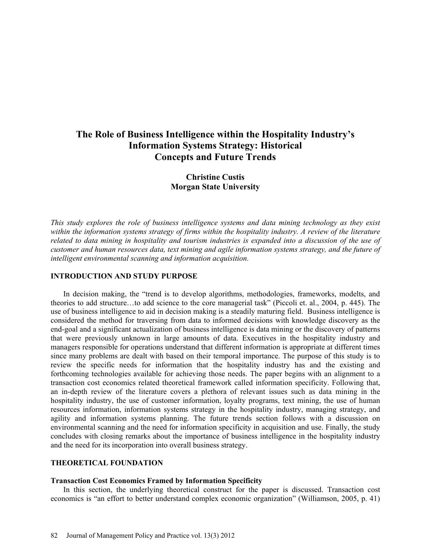# **The Role of Business Intelligence within the Hospitality Industry's Information Systems Strategy: Historical Concepts and Future Trends**

## **Christine Custis Morgan State University**

*This study explores the role of business intelligence systems and data mining technology as they exist within the information systems strategy of firms within the hospitality industry. A review of the literature related to data mining in hospitality and tourism industries is expanded into a discussion of the use of customer and human resources data, text mining and agile information systems strategy, and the future of intelligent environmental scanning and information acquisition.*

## **INTRODUCTION AND STUDY PURPOSE**

In decision making, the "trend is to develop algorithms, methodologies, frameworks, modelts, and theories to add structure…to add science to the core managerial task" (Piccoli et. al., 2004, p. 445). The use of business intelligence to aid in decision making is a steadily maturing field. Business intelligence is considered the method for traversing from data to informed decisions with knowledge discovery as the end-goal and a significant actualization of business intelligence is data mining or the discovery of patterns that were previously unknown in large amounts of data. Executives in the hospitality industry and managers responsible for operations understand that different information is appropriate at different times since many problems are dealt with based on their temporal importance. The purpose of this study is to review the specific needs for information that the hospitality industry has and the existing and forthcoming technologies available for achieving those needs. The paper begins with an alignment to a transaction cost economics related theoretical framework called information specificity. Following that, an in-depth review of the literature covers a plethora of relevant issues such as data mining in the hospitality industry, the use of customer information, loyalty programs, text mining, the use of human resources information, information systems strategy in the hospitality industry, managing strategy, and agility and information systems planning. The future trends section follows with a discussion on environmental scanning and the need for information specificity in acquisition and use. Finally, the study concludes with closing remarks about the importance of business intelligence in the hospitality industry and the need for its incorporation into overall business strategy.

## **THEORETICAL FOUNDATION**

## **Transaction Cost Economics Framed by Information Specificity**

In this section, the underlying theoretical construct for the paper is discussed. Transaction cost economics is "an effort to better understand complex economic organization" (Williamson, 2005, p. 41)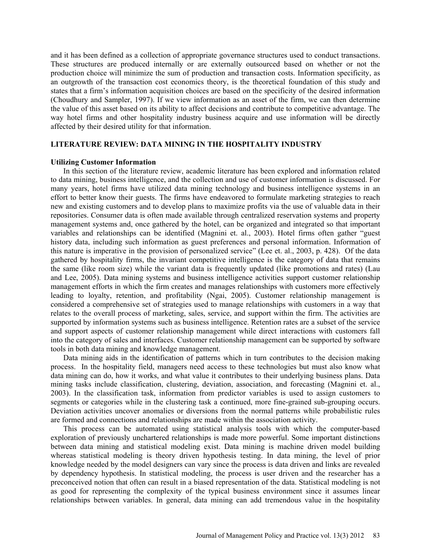and it has been defined as a collection of appropriate governance structures used to conduct transactions. These structures are produced internally or are externally outsourced based on whether or not the production choice will minimize the sum of production and transaction costs. Information specificity, as an outgrowth of the transaction cost economics theory, is the theoretical foundation of this study and states that a firm's information acquisition choices are based on the specificity of the desired information (Choudhury and Sampler, 1997). If we view information as an asset of the firm, we can then determine the value of this asset based on its ability to affect decisions and contribute to competitive advantage. The way hotel firms and other hospitality industry business acquire and use information will be directly affected by their desired utility for that information.

## **LITERATURE REVIEW: DATA MINING IN THE HOSPITALITY INDUSTRY**

#### **Utilizing Customer Information**

In this section of the literature review, academic literature has been explored and information related to data mining, business intelligence, and the collection and use of customer information is discussed. For many years, hotel firms have utilized data mining technology and business intelligence systems in an effort to better know their guests. The firms have endeavored to formulate marketing strategies to reach new and existing customers and to develop plans to maximize profits via the use of valuable data in their repositories. Consumer data is often made available through centralized reservation systems and property management systems and, once gathered by the hotel, can be organized and integrated so that important variables and relationships can be identified (Magnini et. al., 2003). Hotel firms often gather "guest history data, including such information as guest preferences and personal information. Information of this nature is imperative in the provision of personalized service" (Lee et. al., 2003, p. 428). Of the data gathered by hospitality firms, the invariant competitive intelligence is the category of data that remains the same (like room size) while the variant data is frequently updated (like promotions and rates) (Lau and Lee, 2005). Data mining systems and business intelligence activities support customer relationship management efforts in which the firm creates and manages relationships with customers more effectively leading to loyalty, retention, and profitability (Ngai, 2005). Customer relationship management is considered a comprehensive set of strategies used to manage relationships with customers in a way that relates to the overall process of marketing, sales, service, and support within the firm. The activities are supported by information systems such as business intelligence. Retention rates are a subset of the service and support aspects of customer relationship management while direct interactions with customers fall into the category of sales and interfaces. Customer relationship management can be supported by software tools in both data mining and knowledge management.

Data mining aids in the identification of patterns which in turn contributes to the decision making process. In the hospitality field, managers need access to these technologies but must also know what data mining can do, how it works, and what value it contributes to their underlying business plans. Data mining tasks include classification, clustering, deviation, association, and forecasting (Magnini et. al., 2003). In the classification task, information from predictor variables is used to assign customers to segments or categories while in the clustering task a continued, more fine-grained sub-grouping occurs. Deviation activities uncover anomalies or diversions from the normal patterns while probabilistic rules are formed and connections and relationships are made within the association activity.

This process can be automated using statistical analysis tools with which the computer-based exploration of previously unchartered relationships is made more powerful. Some important distinctions between data mining and statistical modeling exist. Data mining is machine driven model building whereas statistical modeling is theory driven hypothesis testing. In data mining, the level of prior knowledge needed by the model designers can vary since the process is data driven and links are revealed by dependency hypothesis. In statistical modeling, the process is user driven and the researcher has a preconceived notion that often can result in a biased representation of the data. Statistical modeling is not as good for representing the complexity of the typical business environment since it assumes linear relationships between variables. In general, data mining can add tremendous value in the hospitality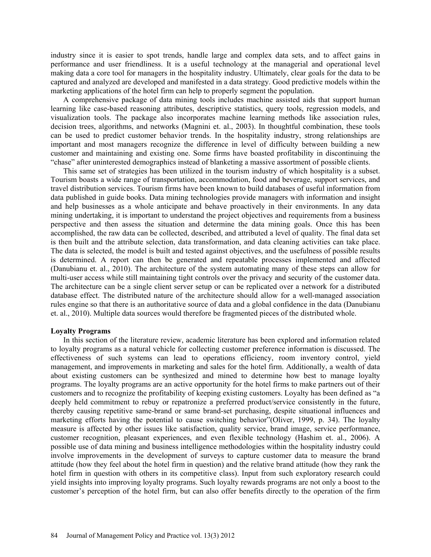industry since it is easier to spot trends, handle large and complex data sets, and to affect gains in performance and user friendliness. It is a useful technology at the managerial and operational level making data a core tool for managers in the hospitality industry. Ultimately, clear goals for the data to be captured and analyzed are developed and manifested in a data strategy. Good predictive models within the marketing applications of the hotel firm can help to properly segment the population.

A comprehensive package of data mining tools includes machine assisted aids that support human learning like case-based reasoning attributes, descriptive statistics, query tools, regression models, and visualization tools. The package also incorporates machine learning methods like association rules, decision trees, algorithms, and networks (Magnini et. al., 2003). In thoughtful combination, these tools can be used to predict customer behavior trends. In the hospitality industry, strong relationships are important and most managers recognize the difference in level of difficulty between building a new customer and maintaining and existing one. Some firms have boasted profitability in discontinuing the "chase" after uninterested demographics instead of blanketing a massive assortment of possible clients.

This same set of strategies has been utilized in the tourism industry of which hospitality is a subset. Tourism boasts a wide range of transportation, accommodation, food and beverage, support services, and travel distribution services. Tourism firms have been known to build databases of useful information from data published in guide books. Data mining technologies provide managers with information and insight and help businesses as a whole anticipate and behave proactively in their environments. In any data mining undertaking, it is important to understand the project objectives and requirements from a business perspective and then assess the situation and determine the data mining goals. Once this has been accomplished, the raw data can be collected, described, and attributed a level of quality. The final data set is then built and the attribute selection, data transformation, and data cleaning activities can take place. The data is selected, the model is built and tested against objectives, and the usefulness of possible results is determined. A report can then be generated and repeatable processes implemented and affected (Danubianu et. al., 2010). The architecture of the system automating many of these steps can allow for multi-user access while still maintaining tight controls over the privacy and security of the customer data. The architecture can be a single client server setup or can be replicated over a network for a distributed database effect. The distributed nature of the architecture should allow for a well-managed association rules engine so that there is an authoritative source of data and a global confidence in the data (Danubianu et. al., 2010). Multiple data sources would therefore be fragmented pieces of the distributed whole.

#### **Loyalty Programs**

In this section of the literature review, academic literature has been explored and information related to loyalty programs as a natural vehicle for collecting customer preference information is discussed. The effectiveness of such systems can lead to operations efficiency, room inventory control, yield management, and improvements in marketing and sales for the hotel firm. Additionally, a wealth of data about existing customers can be synthesized and mined to determine how best to manage loyalty programs. The loyalty programs are an active opportunity for the hotel firms to make partners out of their customers and to recognize the profitability of keeping existing customers. Loyalty has been defined as "a deeply held commitment to rebuy or repatronize a preferred product/service consistently in the future, thereby causing repetitive same-brand or same brand-set purchasing, despite situational influences and marketing efforts having the potential to cause switching behavior"(Oliver, 1999, p. 34). The loyalty measure is affected by other issues like satisfaction, quality service, brand image, service performance, customer recognition, pleasant experiences, and even flexible technology (Hashim et. al., 2006). A possible use of data mining and business intelligence methodologies within the hospitality industry could involve improvements in the development of surveys to capture customer data to measure the brand attitude (how they feel about the hotel firm in question) and the relative brand attitude (how they rank the hotel firm in question with others in its competitive class). Input from such exploratory research could yield insights into improving loyalty programs. Such loyalty rewards programs are not only a boost to the customer's perception of the hotel firm, but can also offer benefits directly to the operation of the firm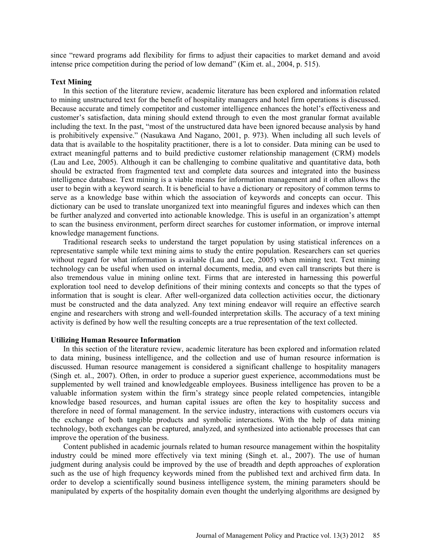since "reward programs add flexibility for firms to adjust their capacities to market demand and avoid intense price competition during the period of low demand" (Kim et. al., 2004, p. 515).

#### **Text Mining**

In this section of the literature review, academic literature has been explored and information related to mining unstructured text for the benefit of hospitality managers and hotel firm operations is discussed. Because accurate and timely competitor and customer intelligence enhances the hotel's effectiveness and customer's satisfaction, data mining should extend through to even the most granular format available including the text. In the past, "most of the unstructured data have been ignored because analysis by hand is prohibitively expensive." (Nasukawa And Nagano, 2001, p. 973). When including all such levels of data that is available to the hospitality practitioner, there is a lot to consider. Data mining can be used to extract meaningful patterns and to build predictive customer relationship management (CRM) models (Lau and Lee, 2005). Although it can be challenging to combine qualitative and quantitative data, both should be extracted from fragmented text and complete data sources and integrated into the business intelligence database. Text mining is a viable means for information management and it often allows the user to begin with a keyword search. It is beneficial to have a dictionary or repository of common terms to serve as a knowledge base within which the association of keywords and concepts can occur. This dictionary can be used to translate unorganized text into meaningful figures and indexes which can then be further analyzed and converted into actionable knowledge. This is useful in an organization's attempt to scan the business environment, perform direct searches for customer information, or improve internal knowledge management functions.

Traditional research seeks to understand the target population by using statistical inferences on a representative sample while text mining aims to study the entire population. Researchers can set queries without regard for what information is available (Lau and Lee, 2005) when mining text. Text mining technology can be useful when used on internal documents, media, and even call transcripts but there is also tremendous value in mining online text. Firms that are interested in harnessing this powerful exploration tool need to develop definitions of their mining contexts and concepts so that the types of information that is sought is clear. After well-organized data collection activities occur, the dictionary must be constructed and the data analyzed. Any text mining endeavor will require an effective search engine and researchers with strong and well-founded interpretation skills. The accuracy of a text mining activity is defined by how well the resulting concepts are a true representation of the text collected.

#### **Utilizing Human Resource Information**

In this section of the literature review, academic literature has been explored and information related to data mining, business intelligence, and the collection and use of human resource information is discussed. Human resource management is considered a significant challenge to hospitality managers (Singh et. al., 2007). Often, in order to produce a superior guest experience, accommodations must be supplemented by well trained and knowledgeable employees. Business intelligence has proven to be a valuable information system within the firm's strategy since people related competencies, intangible knowledge based resources, and human capital issues are often the key to hospitality success and therefore in need of formal management. In the service industry, interactions with customers occurs via the exchange of both tangible products and symbolic interactions. With the help of data mining technology, both exchanges can be captured, analyzed, and synthesized into actionable processes that can improve the operation of the business.

Content published in academic journals related to human resource management within the hospitality industry could be mined more effectively via text mining (Singh et. al., 2007). The use of human judgment during analysis could be improved by the use of breadth and depth approaches of exploration such as the use of high frequency keywords mined from the published text and archived firm data. In order to develop a scientifically sound business intelligence system, the mining parameters should be manipulated by experts of the hospitality domain even thought the underlying algorithms are designed by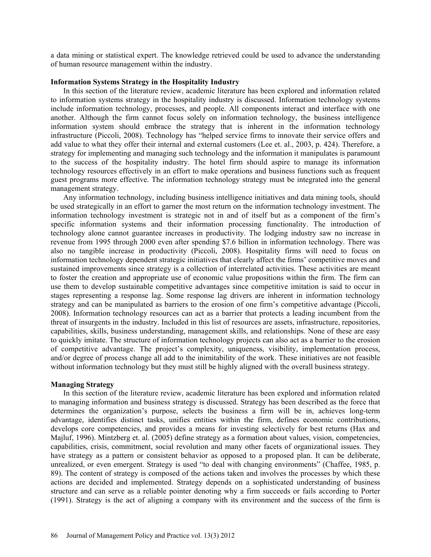a data mining or statistical expert. The knowledge retrieved could be used to advance the understanding of human resource management within the industry.

#### **Information Systems Strategy in the Hospitality Industry**

In this section of the literature review, academic literature has been explored and information related to information systems strategy in the hospitality industry is discussed. Information technology systems include information technology, processes, and people. All components interact and interface with one another. Although the firm cannot focus solely on information technology, the business intelligence information system should embrace the strategy that is inherent in the information technology infrastructure (Piccoli, 2008). Technology has "helped service firms to innovate their service offers and add value to what they offer their internal and external customers (Lee et. al., 2003, p. 424). Therefore, a strategy for implementing and managing such technology and the information it manipulates is paramount to the success of the hospitality industry. The hotel firm should aspire to manage its information technology resources effectively in an effort to make operations and business functions such as frequent guest programs more effective. The information technology strategy must be integrated into the general management strategy.

Any information technology, including business intelligence initiatives and data mining tools, should be used strategically in an effort to garner the most return on the information technology investment. The information technology investment is strategic not in and of itself but as a component of the firm's specific information systems and their information processing functionality. The introduction of technology alone cannot guarantee increases in productivity. The lodging industry saw no increase in revenue from 1995 through 2000 even after spending \$7.6 billion in information technology. There was also no tangible increase in productivity (Piccoli, 2008). Hospitality firms will need to focus on information technology dependent strategic initiatives that clearly affect the firms' competitive moves and sustained improvements since strategy is a collection of interrelated activities. These activities are meant to foster the creation and appropriate use of economic value propositions within the firm. The firm can use them to develop sustainable competitive advantages since competitive imitation is said to occur in stages representing a response lag. Some response lag drivers are inherent in information technology strategy and can be manipulated as barriers to the erosion of one firm's competitive advantage (Piccoli, 2008). Information technology resources can act as a barrier that protects a leading incumbent from the threat of insurgents in the industry. Included in this list of resources are assets, infrastructure, repositories, capabilities, skills, business understanding, management skills, and relationships. None of these are easy to quickly imitate. The structure of information technology projects can also act as a barrier to the erosion of competitive advantage. The project's complexity, uniqueness, visibility, implementation process, and/or degree of process change all add to the inimitability of the work. These initiatives are not feasible without information technology but they must still be highly aligned with the overall business strategy.

#### **Managing Strategy**

In this section of the literature review, academic literature has been explored and information related to managing information and business strategy is discussed. Strategy has been described as the force that determines the organization's purpose, selects the business a firm will be in, achieves long-term advantage, identifies distinct tasks, unifies entities within the firm, defines economic contributions, develops core competencies, and provides a means for investing selectively for best returns (Hax and Majluf, 1996). Mintzberg et. al. (2005) define strategy as a formation about values, vision, competencies, capabilities, crisis, commitment, social revolution and many other facets of organizational issues. They have strategy as a pattern or consistent behavior as opposed to a proposed plan. It can be deliberate, unrealized, or even emergent. Strategy is used "to deal with changing environments" (Chaffee, 1985, p. 89). The content of strategy is composed of the actions taken and involves the processes by which these actions are decided and implemented. Strategy depends on a sophisticated understanding of business structure and can serve as a reliable pointer denoting why a firm succeeds or fails according to Porter (1991). Strategy is the act of aligning a company with its environment and the success of the firm is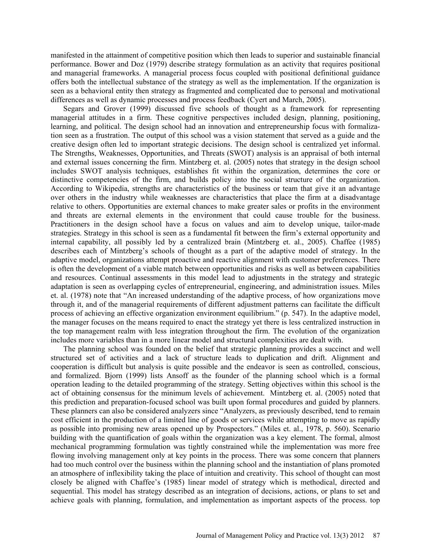manifested in the attainment of competitive position which then leads to superior and sustainable financial performance. Bower and Doz (1979) describe strategy formulation as an activity that requires positional and managerial frameworks. A managerial process focus coupled with positional definitional guidance offers both the intellectual substance of the strategy as well as the implementation. If the organization is seen as a behavioral entity then strategy as fragmented and complicated due to personal and motivational differences as well as dynamic processes and process feedback (Cyert and March, 2005).

Segars and Grover (1999) discussed five schools of thought as a framework for representing managerial attitudes in a firm. These cognitive perspectives included design, planning, positioning, learning, and political. The design school had an innovation and entrepreneurship focus with formalization seen as a frustration. The output of this school was a vision statement that served as a guide and the creative design often led to important strategic decisions. The design school is centralized yet informal. The Strengths, Weaknesses, Opportunities, and Threats (SWOT) analysis is an appraisal of both internal and external issues concerning the firm. Mintzberg et. al. (2005) notes that strategy in the design school includes SWOT analysis techniques, establishes fit within the organization, determines the core or distinctive competencies of the firm, and builds policy into the social structure of the organization. According to Wikipedia, strengths are characteristics of the business or team that give it an advantage over others in the industry while weaknesses are characteristics that place the firm at a disadvantage relative to others. Opportunities are external chances to make greater sales or profits in the environment and threats are external elements in the environment that could cause trouble for the business. Practitioners in the design school have a focus on values and aim to develop unique, tailor-made strategies. Strategy in this school is seen as a fundamental fit between the firm's external opportunity and internal capability, all possibly led by a centralized brain (Mintzberg et. al., 2005). Chaffee (1985) describes each of Mintzberg's schools of thought as a part of the adaptive model of strategy. In the adaptive model, organizations attempt proactive and reactive alignment with customer preferences. There is often the development of a viable match between opportunities and risks as well as between capabilities and resources. Continual assessments in this model lead to adjustments in the strategy and strategic adaptation is seen as overlapping cycles of entrepreneurial, engineering, and administration issues. Miles et. al. (1978) note that "An increased understanding of the adaptive process, of how organizations move through it, and of the managerial requirements of different adjustment patterns can facilitate the difficult process of achieving an effective organization environment equilibrium." (p. 547). In the adaptive model, the manager focuses on the means required to enact the strategy yet there is less centralized instruction in the top management realm with less integration throughout the firm. The evolution of the organization includes more variables than in a more linear model and structural complexities are dealt with.

The planning school was founded on the belief that strategic planning provides a succinct and well structured set of activities and a lack of structure leads to duplication and drift. Alignment and cooperation is difficult but analysis is quite possible and the endeavor is seen as controlled, conscious, and formalized. Bjorn (1999) lists Ansoff as the founder of the planning school which is a formal operation leading to the detailed programming of the strategy. Setting objectives within this school is the act of obtaining consensus for the minimum levels of achievement. Mintzberg et. al. (2005) noted that this prediction and preparation-focused school was built upon formal procedures and guided by planners. These planners can also be considered analyzers since "Analyzers, as previously described, tend to remain cost efficient in the production of a limited line of goods or services while attempting to move as rapidly as possible into promising new areas opened up by Prospectors." (Miles et. al., 1978, p. 560). Scenario building with the quantification of goals within the organization was a key element. The formal, almost mechanical programming formulation was tightly constrained while the implementation was more free flowing involving management only at key points in the process. There was some concern that planners had too much control over the business within the planning school and the instantiation of plans promoted an atmosphere of inflexibility taking the place of intuition and creativity. This school of thought can most closely be aligned with Chaffee's (1985) linear model of strategy which is methodical, directed and sequential. This model has strategy described as an integration of decisions, actions, or plans to set and achieve goals with planning, formulation, and implementation as important aspects of the process. top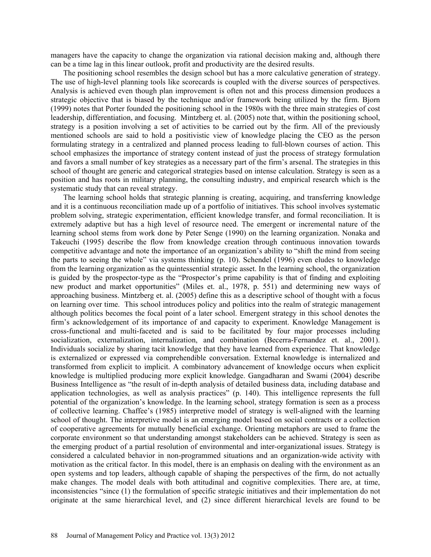managers have the capacity to change the organization via rational decision making and, although there can be a time lag in this linear outlook, profit and productivity are the desired results.

The positioning school resembles the design school but has a more calculative generation of strategy. The use of high-level planning tools like scorecards is coupled with the diverse sources of perspectives. Analysis is achieved even though plan improvement is often not and this process dimension produces a strategic objective that is biased by the technique and/or framework being utilized by the firm. Bjorn (1999) notes that Porter founded the positioning school in the 1980s with the three main strategies of cost leadership, differentiation, and focusing. Mintzberg et. al. (2005) note that, within the positioning school, strategy is a position involving a set of activities to be carried out by the firm. All of the previously mentioned schools are said to hold a positivistic view of knowledge placing the CEO as the person formulating strategy in a centralized and planned process leading to full-blown courses of action. This school emphasizes the importance of strategy content instead of just the process of strategy formulation and favors a small number of key strategies as a necessary part of the firm's arsenal. The strategies in this school of thought are generic and categorical strategies based on intense calculation. Strategy is seen as a position and has roots in military planning, the consulting industry, and empirical research which is the systematic study that can reveal strategy.

The learning school holds that strategic planning is creating, acquiring, and transferring knowledge and it is a continuous reconciliation made up of a portfolio of initiatives. This school involves systematic problem solving, strategic experimentation, efficient knowledge transfer, and formal reconciliation. It is extremely adaptive but has a high level of resource need. The emergent or incremental nature of the learning school stems from work done by Peter Senge (1990) on the learning organization. Nonaka and Takeuchi (1995) describe the flow from knowledge creation through continuous innovation towards competitive advantage and note the importance of an organization's ability to "shift the mind from seeing the parts to seeing the whole" via systems thinking (p. 10). Schendel (1996) even eludes to knowledge from the learning organization as the quintessential strategic asset. In the learning school, the organization is guided by the prospector-type as the "Prospector's prime capability is that of finding and exploiting new product and market opportunities" (Miles et. al., 1978, p. 551) and determining new ways of approaching business. Mintzberg et. al. (2005) define this as a descriptive school of thought with a focus on learning over time. This school introduces policy and politics into the realm of strategic management although politics becomes the focal point of a later school. Emergent strategy in this school denotes the firm's acknowledgement of its importance of and capacity to experiment. Knowledge Management is cross-functional and multi-faceted and is said to be facilitated by four major processes including socialization, externalization, internalization, and combination (Becerra-Fernandez et. al., 2001). Individuals socialize by sharing tacit knowledge that they have learned from experience. That knowledge is externalized or expressed via comprehendible conversation. External knowledge is internalized and transformed from explicit to implicit. A combinatory advancement of knowledge occurs when explicit knowledge is multiplied producing more explicit knowledge. Gangadharan and Swami (2004) describe Business Intelligence as "the result of in-depth analysis of detailed business data, including database and application technologies, as well as analysis practices" (p. 140). This intelligence represents the full potential of the organization's knowledge. In the learning school, strategy formation is seen as a process of collective learning. Chaffee's (1985) interpretive model of strategy is well-aligned with the learning school of thought. The interpretive model is an emerging model based on social contracts or a collection of cooperative agreements for mutually beneficial exchange. Orienting metaphors are used to frame the corporate environment so that understanding amongst stakeholders can be achieved. Strategy is seen as the emerging product of a partial resolution of environmental and inter-organizational issues. Strategy is considered a calculated behavior in non-programmed situations and an organization-wide activity with motivation as the critical factor. In this model, there is an emphasis on dealing with the environment as an open systems and top leaders, although capable of shaping the perspectives of the firm, do not actually make changes. The model deals with both attitudinal and cognitive complexities. There are, at time, inconsistencies "since (1) the formulation of specific strategic initiatives and their implementation do not originate at the same hierarchical level, and (2) since different hierarchical levels are found to be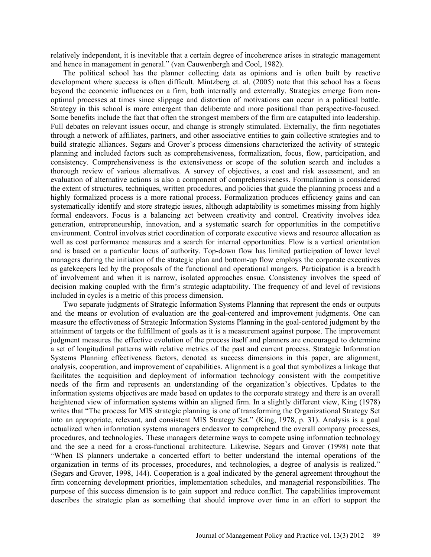relatively independent, it is inevitable that a certain degree of incoherence arises in strategic management and hence in management in general." (van Cauwenbergh and Cool, 1982).

The political school has the planner collecting data as opinions and is often built by reactive development where success is often difficult. Mintzberg et. al. (2005) note that this school has a focus beyond the economic influences on a firm, both internally and externally. Strategies emerge from nonoptimal processes at times since slippage and distortion of motivations can occur in a political battle. Strategy in this school is more emergent than deliberate and more positional than perspective-focused. Some benefits include the fact that often the strongest members of the firm are catapulted into leadership. Full debates on relevant issues occur, and change is strongly stimulated. Externally, the firm negotiates through a network of affiliates, partners, and other associative entities to gain collective strategies and to build strategic alliances. Segars and Grover's process dimensions characterized the activity of strategic planning and included factors such as comprehensiveness, formalization, focus, flow, participation, and consistency. Comprehensiveness is the extensiveness or scope of the solution search and includes a thorough review of various alternatives. A survey of objectives, a cost and risk assessment, and an evaluation of alternative actions is also a component of comprehensiveness. Formalization is considered the extent of structures, techniques, written procedures, and policies that guide the planning process and a highly formalized process is a more rational process. Formalization produces efficiency gains and can systematically identify and store strategic issues, although adaptability is sometimes missing from highly formal endeavors. Focus is a balancing act between creativity and control. Creativity involves idea generation, entrepreneurship, innovation, and a systematic search for opportunities in the competitive environment. Control involves strict coordination of corporate executive views and resource allocation as well as cost performance measures and a search for internal opportunities. Flow is a vertical orientation and is based on a particular locus of authority. Top-down flow has limited participation of lower level managers during the initiation of the strategic plan and bottom-up flow employs the corporate executives as gatekeepers led by the proposals of the functional and operational mangers. Participation is a breadth of involvement and when it is narrow, isolated approaches ensue. Consistency involves the speed of decision making coupled with the firm's strategic adaptability. The frequency of and level of revisions included in cycles is a metric of this process dimension.

Two separate judgments of Strategic Information Systems Planning that represent the ends or outputs and the means or evolution of evaluation are the goal-centered and improvement judgments. One can measure the effectiveness of Strategic Information Systems Planning in the goal-centered judgment by the attainment of targets or the fulfillment of goals as it is a measurement against purpose. The improvement judgment measures the effective evolution of the process itself and planners are encouraged to determine a set of longitudinal patterns with relative metrics of the past and current process. Strategic Information Systems Planning effectiveness factors, denoted as success dimensions in this paper, are alignment, analysis, cooperation, and improvement of capabilities. Alignment is a goal that symbolizes a linkage that facilitates the acquisition and deployment of information technology consistent with the competitive needs of the firm and represents an understanding of the organization's objectives. Updates to the information systems objectives are made based on updates to the corporate strategy and there is an overall heightened view of information systems within an aligned firm. In a slightly different view, King (1978) writes that "The process for MIS strategic planning is one of transforming the Organizational Strategy Set into an appropriate, relevant, and consistent MIS Strategy Set." (King, 1978, p. 31). Analysis is a goal actualized when information systems managers endeavor to comprehend the overall company processes, procedures, and technologies. These managers determine ways to compete using information technology and the see a need for a cross-functional architecture. Likewise, Segars and Grover (1998) note that "When IS planners undertake a concerted effort to better understand the internal operations of the organization in terms of its processes, procedures, and technologies, a degree of analysis is realized." (Segars and Grover, 1998, 144). Cooperation is a goal indicated by the general agreement throughout the firm concerning development priorities, implementation schedules, and managerial responsibilities. The purpose of this success dimension is to gain support and reduce conflict. The capabilities improvement describes the strategic plan as something that should improve over time in an effort to support the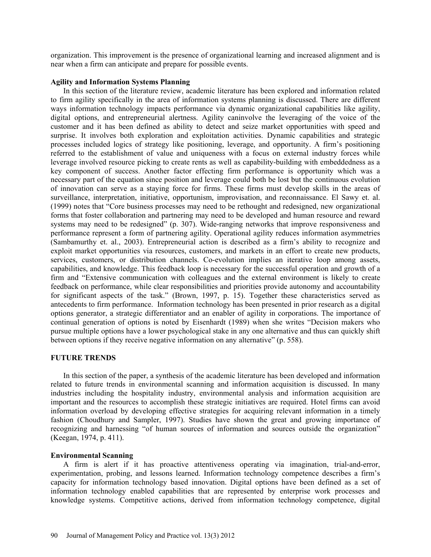organization. This improvement is the presence of organizational learning and increased alignment and is near when a firm can anticipate and prepare for possible events.

## **Agility and Information Systems Planning**

In this section of the literature review, academic literature has been explored and information related to firm agility specifically in the area of information systems planning is discussed. There are different ways information technology impacts performance via dynamic organizational capabilities like agility, digital options, and entrepreneurial alertness. Agility caninvolve the leveraging of the voice of the customer and it has been defined as ability to detect and seize market opportunities with speed and surprise. It involves both exploration and exploitation activities. Dynamic capabilities and strategic processes included logics of strategy like positioning, leverage, and opportunity. A firm's positioning referred to the establishment of value and uniqueness with a focus on external industry forces while leverage involved resource picking to create rents as well as capability-building with embeddedness as a key component of success. Another factor effecting firm performance is opportunity which was a necessary part of the equation since position and leverage could both be lost but the continuous evolution of innovation can serve as a staying force for firms. These firms must develop skills in the areas of surveillance, interpretation, initiative, opportunism, improvisation, and reconnaissance. El Sawy et. al. (1999) notes that "Core business processes may need to be rethought and redesigned, new organizational forms that foster collaboration and partnering may need to be developed and human resource and reward systems may need to be redesigned" (p. 307). Wide-ranging networks that improve responsiveness and performance represent a form of partnering agility. Operational agility reduces information asymmetries (Sambamurthy et. al., 2003). Entrepreneurial action is described as a firm's ability to recognize and exploit market opportunities via resources, customers, and markets in an effort to create new products, services, customers, or distribution channels. Co-evolution implies an iterative loop among assets, capabilities, and knowledge. This feedback loop is necessary for the successful operation and growth of a firm and "Extensive communication with colleagues and the external environment is likely to create feedback on performance, while clear responsibilities and priorities provide autonomy and accountability for significant aspects of the task." (Brown, 1997, p. 15). Together these characteristics served as antecedents to firm performance. Information technology has been presented in prior research as a digital options generator, a strategic differentiator and an enabler of agility in corporations. The importance of continual generation of options is noted by Eisenhardt (1989) when she writes "Decision makers who pursue multiple options have a lower psychological stake in any one alternative and thus can quickly shift between options if they receive negative information on any alternative" (p. 558).

## **FUTURE TRENDS**

In this section of the paper, a synthesis of the academic literature has been developed and information related to future trends in environmental scanning and information acquisition is discussed. In many industries including the hospitality industry, environmental analysis and information acquisition are important and the resources to accomplish these strategic initiatives are required. Hotel firms can avoid information overload by developing effective strategies for acquiring relevant information in a timely fashion (Choudhury and Sampler, 1997). Studies have shown the great and growing importance of recognizing and harnessing "of human sources of information and sources outside the organization" (Keegan, 1974, p. 411).

#### **Environmental Scanning**

A firm is alert if it has proactive attentiveness operating via imagination, trial-and-error, experimentation, probing, and lessons learned. Information technology competence describes a firm's capacity for information technology based innovation. Digital options have been defined as a set of information technology enabled capabilities that are represented by enterprise work processes and knowledge systems. Competitive actions, derived from information technology competence, digital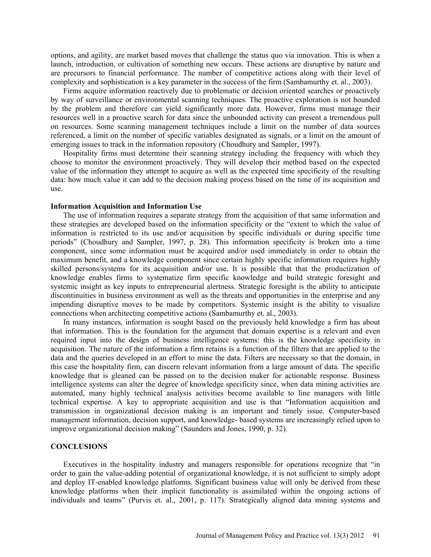options, and agility, are market based moves that challenge the status quo via innovation. This is when a launch, introduction, or cultivation of something new occurs. These actions are disruptive by nature and are precursors to financial performance. The number of competitive actions along with their level of complexity and sophistication is a key parameter in the success of the firm (Sambamurthy et. al., 2003).

Firms acquire information reactively due to problematic or decision oriented searches or proactively by way of surveillance or environmental scanning techniques. The proactive exploration is not bounded by the problem and therefore can yield significantly more data. However, firms must manage their resources well in a proactive search for data since the unbounded activity can present a tremendous pull on resources. Some scanning management techniques include a limit on the number of data sources referenced, a limit on the number of specific variables designated as signals, or a limit on the amount of emerging issues to track in the information repository (Choudhury and Sampler, 1997).

Hospitality firms must determine their scanning strategy including the frequency with which they choose to monitor the environment proactively. They will develop their method based on the expected value of the information they attempt to acquire as well as the expected time specificity of the resulting data: how much value it can add to the decision making process based on the time of its acquisition and use.

#### **Information Acquisition and Information Use**

The use of information requires a separate strategy from the acquisition of that same information and these strategies are developed based on the information specificity or the "extent to which the value of information is restricted to its use and/or acquisition by specific individuals or during specific time periods" (Choudhury and Sampler, 1997, p. 28). This information specificity is broken into a time component, since some information must be acquired and/or used immediately in order to obtain the maximum benefit, and a knowledge component since certain highly specific information requires highly skilled persons/systems for its acquisition and/or use. It is possible that that the productization of knowledge enables firms to systematize firm specific knowledge and build strategic foresight and systemic insight as key inputs to entrepreneurial alertness. Strategic foresight is the ability to anticipate discontinuities in business environment as well as the threats and opportunities in the enterprise and any impending disruptive moves to be made by competitors. Systemic insight is the ability to visualize connections when architecting competitive actions (Sambamurthy et. al., 2003).

In many instances, information is sought based on the previously held knowledge a firm has about that information. This is the foundation for the argument that domain expertise is a relevant and even required input into the design of business intelligence systems: this is the knowledge specificity in acquisition. The nature of the information a firm retains is a function of the filters that are applied to the data and the queries developed in an effort to mine the data. Filters are necessary so that the domain, in this case the hospitality firm, can discern relevant information from a large amount of data. The specific knowledge that is gleaned can be passed on to the decision maker for actionable response. Business intelligence systems can alter the degree of knowledge specificity since, when data mining activities are automated, many highly technical analysis activities become available to line managers with little technical expertise. A key to appropriate acquisition and use is that "Information acquisition and transmission in organizational decision making is an important and timely issue. Computer-based management information, decision support, and knowledge- based systems are increasingly relied upon to improve organizational decision making" (Saunders and Jones, 1990, p. 32).

#### **CONCLUSIONS**

Executives in the hospitality industry and managers responsible for operations recognize that "in order to gain the value-adding potential of organizational knowledge, it is not sufficient to simply adopt and deploy IT-enabled knowledge platforms. Significant business value will only be derived from these knowledge platforms when their implicit functionality is assimilated within the ongoing actions of individuals and teams" (Purvis et. al., 2001, p. 117). Strategically aligned data mining systems and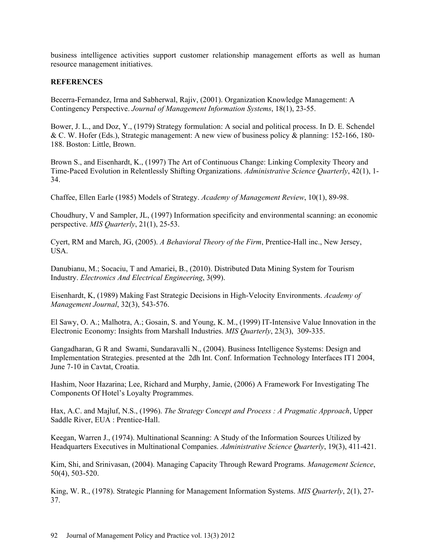business intelligence activities support customer relationship management efforts as well as human resource management initiatives.

## **REFERENCES**

Becerra-Fernandez, Irma and Sabherwal, Rajiv, (2001). Organization Knowledge Management: A Contingency Perspective. *Journal of Management Information Systems*, 18(1), 23-55.

Bower, J. L., and Doz, Y., (1979) Strategy formulation: A social and political process. In D. E. Schendel & C. W. Hofer (Eds.), Strategic management: A new view of business policy & planning: 152-166, 180- 188. Boston: Little, Brown.

Brown S., and Eisenhardt, K., (1997) The Art of Continuous Change: Linking Complexity Theory and Time-Paced Evolution in Relentlessly Shifting Organizations. *Administrative Science Quarterly*, 42(1), 1- 34.

Chaffee, Ellen Earle (1985) Models of Strategy. *Academy of Management Review*, 10(1), 89-98.

Choudhury, V and Sampler, JL, (1997) Information specificity and environmental scanning: an economic perspective. *MIS Quarterly*, 21(1), 25-53.

Cyert, RM and March, JG, (2005). *A Behavioral Theory of the Firm*, Prentice-Hall inc., New Jersey, USA.

Danubianu, M.; Socaciu, T and Amariei, B., (2010). Distributed Data Mining System for Tourism Industry. *Electronics And Electrical Engineering*, 3(99).

Eisenhardt, K, (1989) Making Fast Strategic Decisions in High-Velocity Environments. *Academy of Management Journal*, 32(3), 543-576.

El Sawy, O. A.; Malhotra, A.; Gosain, S. and Young, K. M., (1999) IT-Intensive Value Innovation in the Electronic Economy: Insights from Marshall Industries. *MIS Quarterly*, 23(3), 309-335.

Gangadharan, G R and Swami, Sundaravalli N., (2004). Business Intelligence Systems: Design and Implementation Strategies. presented at the 2dh Int. Conf. Information Technology Interfaces IT1 2004, June 7-10 in Cavtat, Croatia.

Hashim, Noor Hazarina; Lee, Richard and Murphy, Jamie, (2006) A Framework For Investigating The Components Of Hotel's Loyalty Programmes.

Hax, A.C. and Majluf, N.S., (1996). *The Strategy Concept and Process : A Pragmatic Approach*, Upper Saddle River, EUA : Prentice-Hall.

Keegan, Warren J., (1974). Multinational Scanning: A Study of the Information Sources Utilized by Headquarters Executives in Multinational Companies. *Administrative Science Quarterly*, 19(3), 411-421.

Kim, Shi, and Srinivasan, (2004). Managing Capacity Through Reward Programs. *Management Science*, 50(4), 503-520.

King, W. R., (1978). Strategic Planning for Management Information Systems. *MIS Quarterly*, 2(1), 27- 37.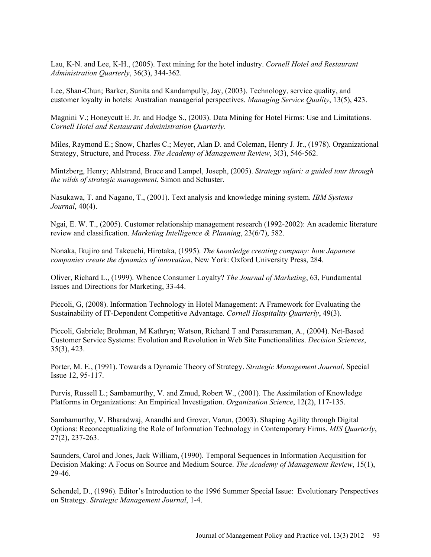Lau, K-N. and Lee, K-H., (2005). Text mining for the hotel industry. *Cornell Hotel and Restaurant Administration Quarterly*, 36(3), 344-362.

Lee, Shan-Chun; Barker, Sunita and Kandampully, Jay, (2003). Technology, service quality, and customer loyalty in hotels: Australian managerial perspectives. *Managing Service Quality*, 13(5), 423.

Magnini V.; Honeycutt E. Jr. and Hodge S., (2003). Data Mining for Hotel Firms: Use and Limitations. *Cornell Hotel and Restaurant Administration Quarterly.*

Miles, Raymond E.; Snow, Charles C.; Meyer, Alan D. and Coleman, Henry J. Jr., (1978). Organizational Strategy, Structure, and Process. *The Academy of Management Review*, 3(3), 546-562.

Mintzberg, Henry; Ahlstrand, Bruce and Lampel, Joseph, (2005). *Strategy safari: a guided tour through the wilds of strategic management*, Simon and Schuster.

Nasukawa, T. and Nagano, T., (2001). Text analysis and knowledge mining system. *IBM Systems Journal*, 40(4).

Ngai, E. W. T., (2005). Customer relationship management research (1992-2002): An academic literature review and classification. *Marketing Intelligence & Planning*, 23(6/7), 582.

Nonaka, Ikujiro and Takeuchi, Hirotaka, (1995). *The knowledge creating company: how Japanese companies create the dynamics of innovation*, New York: Oxford University Press, 284.

Oliver, Richard L., (1999). Whence Consumer Loyalty? *The Journal of Marketing*, 63, Fundamental Issues and Directions for Marketing, 33-44.

Piccoli, G, (2008). Information Technology in Hotel Management: A Framework for Evaluating the Sustainability of IT-Dependent Competitive Advantage. *Cornell Hospitality Quarterly*, 49(3).

Piccoli, Gabriele; Brohman, M Kathryn; Watson, Richard T and Parasuraman, A., (2004). Net-Based Customer Service Systems: Evolution and Revolution in Web Site Functionalities. *Decision Sciences*, 35(3), 423.

Porter, M. E., (1991). Towards a Dynamic Theory of Strategy. *Strategic Management Journal*, Special Issue 12, 95-117.

Purvis, Russell L.; Sambamurthy, V. and Zmud, Robert W., (2001). The Assimilation of Knowledge Platforms in Organizations: An Empirical Investigation. *Organization Science*, 12(2), 117-135.

Sambamurthy, V. Bharadwaj, Anandhi and Grover, Varun, (2003). Shaping Agility through Digital Options: Reconceptualizing the Role of Information Technology in Contemporary Firms. *MIS Quarterly*, 27(2), 237-263.

Saunders, Carol and Jones, Jack William, (1990). Temporal Sequences in Information Acquisition for Decision Making: A Focus on Source and Medium Source. *The Academy of Management Review*, 15(1), 29-46.

Schendel, D., (1996). Editor's Introduction to the 1996 Summer Special Issue: Evolutionary Perspectives on Strategy. *Strategic Management Journal*, 1-4.